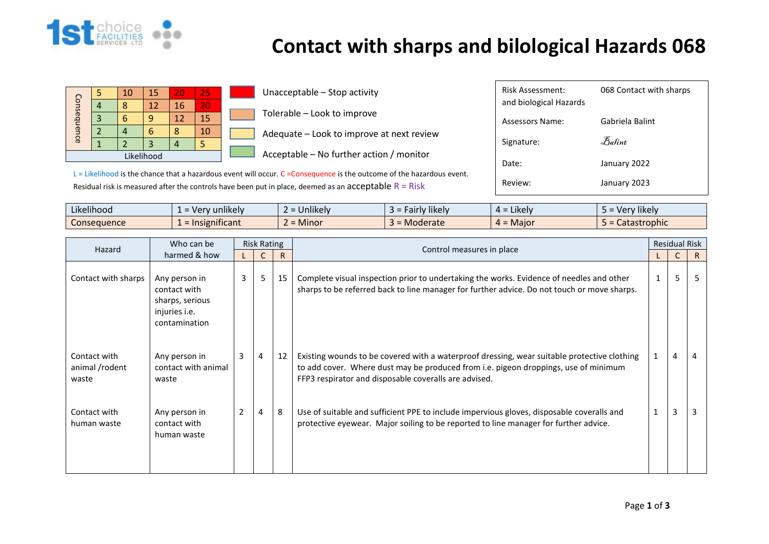

## **Contact with sharps and bilological Hazards 068**

Review: January 2023

|                                    |  | 10 | 15 | 20 | 25              | Unacceptable - Stop activity                                                                         | Risk Assessment:       | 068 Contact with sharps |
|------------------------------------|--|----|----|----|-----------------|------------------------------------------------------------------------------------------------------|------------------------|-------------------------|
| Consequ<br>$\overline{\mathbf{D}}$ |  |    | 12 | 16 | 20 <sub>1</sub> |                                                                                                      | and biological Hazards |                         |
|                                    |  |    | a  | ΠZ | 15              | Tolerable - Look to improve                                                                          | <b>Assessors Name:</b> | Gabriela Balint         |
|                                    |  |    |    |    | 10              | Adequate - Look to improve at next review                                                            |                        |                         |
| nce                                |  |    |    |    |                 |                                                                                                      | Signature:             | Balint                  |
| Likelihood                         |  |    |    |    |                 | Acceptable – No further action / monitor                                                             |                        |                         |
|                                    |  |    |    |    |                 | $\sim$ $\sim$ $\sim$<br>$\sim$ $\sim$ $\sim$ $\sim$ $\sim$<br>---<br>$\cdot$ $\cdot$ $\cdot$ $\cdot$ | Date:                  | January 2022            |

 $L =$  Likelihood is the chance that a hazardous event will occur. C = Consequence is the outcome of the hazardous event. Residual risk is measured after the controls have been put in place, deemed as an acceptable  $R = R$ isk

| $\cdots$<br>$\cdots$<br>Likelihood | $\cdots$<br>, unlikely<br>. Ver<br>$\sim$<br>$-$  | <b>Jnlikely</b> | $\cdots$<br><b>likely</b><br>, airly | 4 = Likely           | $\cdots$<br>v likelv<br>ver ! |
|------------------------------------|---------------------------------------------------|-----------------|--------------------------------------|----------------------|-------------------------------|
| Consequence                        | $\cdot$ $\cdot$ $\cdot$<br>nsignificant<br>$=$ Ir | <b>Minor</b>    | <b>Moderate</b><br>. –               | $\epsilon = 0$ Maior | Catastrophic                  |

|                                         | Who can be                                                                         | <b>Risk Rating</b> |   |    | Control measures in place                                                                                                                                                                                                                   |   |   | <b>Residual Risk</b> |  |
|-----------------------------------------|------------------------------------------------------------------------------------|--------------------|---|----|---------------------------------------------------------------------------------------------------------------------------------------------------------------------------------------------------------------------------------------------|---|---|----------------------|--|
| Hazard                                  | harmed & how                                                                       |                    |   | R  |                                                                                                                                                                                                                                             |   | C | $\mathsf{R}$         |  |
| Contact with sharps                     | Any person in<br>contact with<br>sharps, serious<br>injuries i.e.<br>contamination | 3 <sup>7</sup>     | 5 | 15 | Complete visual inspection prior to undertaking the works. Evidence of needles and other<br>sharps to be referred back to line manager for further advice. Do not touch or move sharps.                                                     | 1 | 5 |                      |  |
| Contact with<br>animal /rodent<br>waste | Any person in<br>contact with animal<br>waste                                      | 3                  | 4 | 12 | Existing wounds to be covered with a waterproof dressing, wear suitable protective clothing<br>to add cover. Where dust may be produced from i.e. pigeon droppings, use of minimum<br>FFP3 respirator and disposable coveralls are advised. |   | 4 | 4                    |  |
| Contact with<br>human waste             | Any person in<br>contact with<br>human waste                                       |                    | 4 | 8  | Use of suitable and sufficient PPE to include impervious gloves, disposable coveralls and<br>protective eyewear. Major soiling to be reported to line manager for further advice.                                                           |   | 3 |                      |  |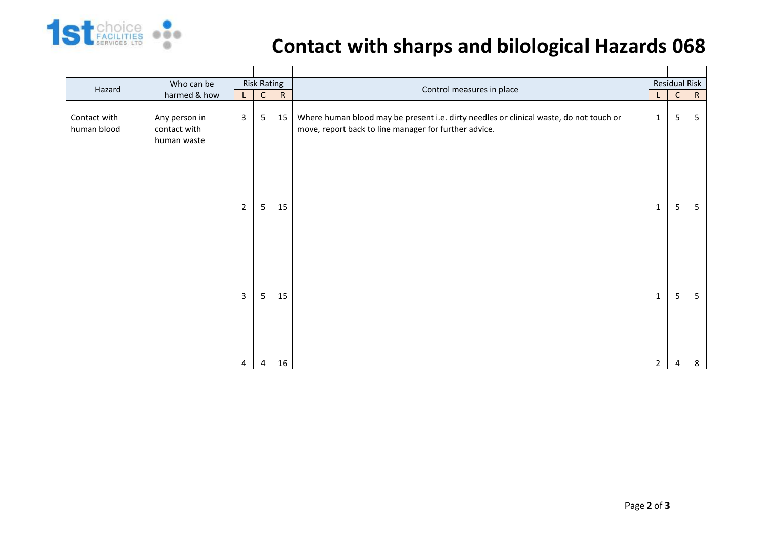

## **Contact with sharps and bilological Hazards 068**

| Hazard                      | Who can be                                   | <b>Risk Rating</b> |                 |           | Control measures in place                                                                                                                       |              | <b>Residual Risk</b> |    |
|-----------------------------|----------------------------------------------|--------------------|-----------------|-----------|-------------------------------------------------------------------------------------------------------------------------------------------------|--------------|----------------------|----|
|                             | harmed & how                                 | $\mathsf{L}$       | $\mathsf{C}$    | ${\sf R}$ |                                                                                                                                                 |              | $\mathsf{C}$         | R  |
| Contact with<br>human blood | Any person in<br>contact with<br>human waste | $\overline{3}$     | $5\phantom{.0}$ | 15        | Where human blood may be present i.e. dirty needles or clinical waste, do not touch or<br>move, report back to line manager for further advice. | $\mathbf{1}$ | 5                    | -5 |
|                             |                                              | $\overline{2}$     | $5\phantom{.0}$ | 15        |                                                                                                                                                 | $\mathbf{1}$ | 5                    | -5 |
|                             |                                              | 3                  | $5\phantom{.0}$ | 15        |                                                                                                                                                 | $\mathbf{1}$ | 5                    | 5  |
|                             |                                              | 4                  | 4               | 16        |                                                                                                                                                 | 2            | 4                    | 8  |